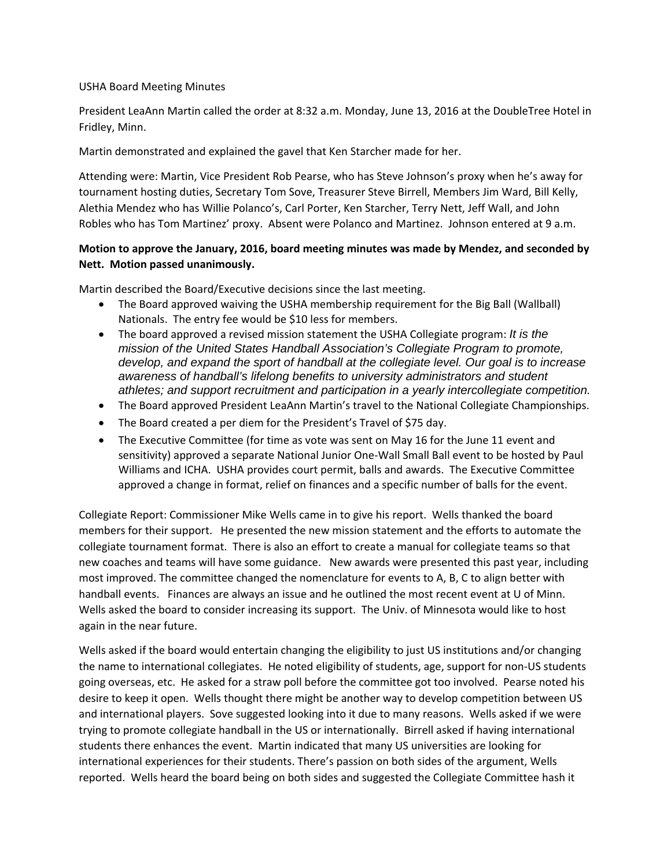## USHA Board Meeting Minutes

President LeaAnn Martin called the order at 8:32 a.m. Monday, June 13, 2016 at the DoubleTree Hotel in Fridley, Minn.

Martin demonstrated and explained the gavel that Ken Starcher made for her.

Attending were: Martin, Vice President Rob Pearse, who has Steve Johnson's proxy when he's away for tournament hosting duties, Secretary Tom Sove, Treasurer Steve Birrell, Members Jim Ward, Bill Kelly, Alethia Mendez who has Willie Polanco's, Carl Porter, Ken Starcher, Terry Nett, Jeff Wall, and John Robles who has Tom Martinez' proxy. Absent were Polanco and Martinez. Johnson entered at 9 a.m.

## **Motion to approve the January, 2016, board meeting minutes was made by Mendez, and seconded by Nett. Motion passed unanimously.**

Martin described the Board/Executive decisions since the last meeting.

- The Board approved waiving the USHA membership requirement for the Big Ball (Wallball) Nationals. The entry fee would be \$10 less for members.
- The board approved a revised mission statement the USHA Collegiate program: *It is the mission of the United States Handball Association's Collegiate Program to promote, develop, and expand the sport of handball at the collegiate level. Our goal is to increase awareness of handball's lifelong benefits to university administrators and student athletes; and support recruitment and participation in a yearly intercollegiate competition.*
- The Board approved President LeaAnn Martin's travel to the National Collegiate Championships.
- The Board created a per diem for the President's Travel of \$75 day.
- The Executive Committee (for time as vote was sent on May 16 for the June 11 event and sensitivity) approved a separate National Junior One‐Wall Small Ball event to be hosted by Paul Williams and ICHA. USHA provides court permit, balls and awards. The Executive Committee approved a change in format, relief on finances and a specific number of balls for the event.

Collegiate Report: Commissioner Mike Wells came in to give his report. Wells thanked the board members for their support. He presented the new mission statement and the efforts to automate the collegiate tournament format. There is also an effort to create a manual for collegiate teams so that new coaches and teams will have some guidance. New awards were presented this past year, including most improved. The committee changed the nomenclature for events to A, B, C to align better with handball events. Finances are always an issue and he outlined the most recent event at U of Minn. Wells asked the board to consider increasing its support. The Univ. of Minnesota would like to host again in the near future.

Wells asked if the board would entertain changing the eligibility to just US institutions and/or changing the name to international collegiates. He noted eligibility of students, age, support for non‐US students going overseas, etc. He asked for a straw poll before the committee got too involved. Pearse noted his desire to keep it open. Wells thought there might be another way to develop competition between US and international players. Sove suggested looking into it due to many reasons. Wells asked if we were trying to promote collegiate handball in the US or internationally. Birrell asked if having international students there enhances the event. Martin indicated that many US universities are looking for international experiences for their students. There's passion on both sides of the argument, Wells reported. Wells heard the board being on both sides and suggested the Collegiate Committee hash it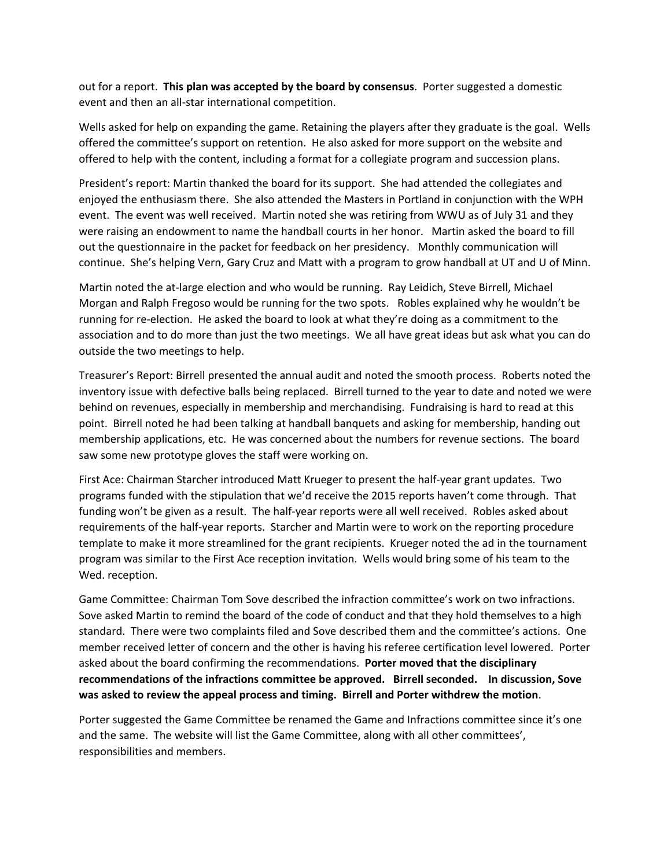out for a report. **This plan was accepted by the board by consensus**. Porter suggested a domestic event and then an all‐star international competition.

Wells asked for help on expanding the game. Retaining the players after they graduate is the goal. Wells offered the committee's support on retention. He also asked for more support on the website and offered to help with the content, including a format for a collegiate program and succession plans.

President's report: Martin thanked the board for its support. She had attended the collegiates and enjoyed the enthusiasm there. She also attended the Masters in Portland in conjunction with the WPH event. The event was well received. Martin noted she was retiring from WWU as of July 31 and they were raising an endowment to name the handball courts in her honor. Martin asked the board to fill out the questionnaire in the packet for feedback on her presidency. Monthly communication will continue. She's helping Vern, Gary Cruz and Matt with a program to grow handball at UT and U of Minn.

Martin noted the at‐large election and who would be running. Ray Leidich, Steve Birrell, Michael Morgan and Ralph Fregoso would be running for the two spots. Robles explained why he wouldn't be running for re‐election. He asked the board to look at what they're doing as a commitment to the association and to do more than just the two meetings. We all have great ideas but ask what you can do outside the two meetings to help.

Treasurer's Report: Birrell presented the annual audit and noted the smooth process. Roberts noted the inventory issue with defective balls being replaced. Birrell turned to the year to date and noted we were behind on revenues, especially in membership and merchandising. Fundraising is hard to read at this point. Birrell noted he had been talking at handball banquets and asking for membership, handing out membership applications, etc. He was concerned about the numbers for revenue sections. The board saw some new prototype gloves the staff were working on.

First Ace: Chairman Starcher introduced Matt Krueger to present the half‐year grant updates. Two programs funded with the stipulation that we'd receive the 2015 reports haven't come through. That funding won't be given as a result. The half‐year reports were all well received. Robles asked about requirements of the half‐year reports. Starcher and Martin were to work on the reporting procedure template to make it more streamlined for the grant recipients. Krueger noted the ad in the tournament program was similar to the First Ace reception invitation. Wells would bring some of his team to the Wed. reception.

Game Committee: Chairman Tom Sove described the infraction committee's work on two infractions. Sove asked Martin to remind the board of the code of conduct and that they hold themselves to a high standard. There were two complaints filed and Sove described them and the committee's actions. One member received letter of concern and the other is having his referee certification level lowered. Porter asked about the board confirming the recommendations. **Porter moved that the disciplinary recommendations of the infractions committee be approved. Birrell seconded. In discussion, Sove was asked to review the appeal process and timing. Birrell and Porter withdrew the motion**.

Porter suggested the Game Committee be renamed the Game and Infractions committee since it's one and the same. The website will list the Game Committee, along with all other committees', responsibilities and members.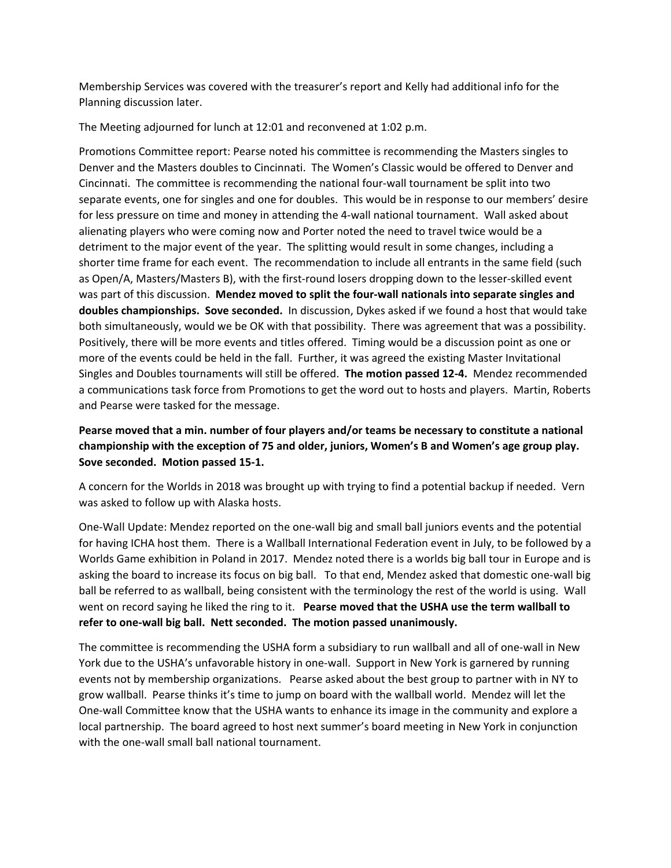Membership Services was covered with the treasurer's report and Kelly had additional info for the Planning discussion later.

The Meeting adjourned for lunch at 12:01 and reconvened at 1:02 p.m.

Promotions Committee report: Pearse noted his committee is recommending the Masters singles to Denver and the Masters doubles to Cincinnati. The Women's Classic would be offered to Denver and Cincinnati. The committee is recommending the national four‐wall tournament be split into two separate events, one for singles and one for doubles. This would be in response to our members' desire for less pressure on time and money in attending the 4‐wall national tournament. Wall asked about alienating players who were coming now and Porter noted the need to travel twice would be a detriment to the major event of the year. The splitting would result in some changes, including a shorter time frame for each event. The recommendation to include all entrants in the same field (such as Open/A, Masters/Masters B), with the first-round losers dropping down to the lesser-skilled event was part of this discussion. **Mendez moved to split the four‐wall nationals into separate singles and doubles championships. Sove seconded.** In discussion, Dykes asked if we found a host that would take both simultaneously, would we be OK with that possibility. There was agreement that was a possibility. Positively, there will be more events and titles offered. Timing would be a discussion point as one or more of the events could be held in the fall. Further, it was agreed the existing Master Invitational Singles and Doubles tournaments will still be offered. **The motion passed 12‐4.** Mendez recommended a communications task force from Promotions to get the word out to hosts and players. Martin, Roberts and Pearse were tasked for the message.

## **Pearse moved that a min. number of four players and/or teams be necessary to constitute a national championship with the exception of 75 and older, juniors, Women's B and Women's age group play. Sove seconded. Motion passed 15‐1.**

A concern for the Worlds in 2018 was brought up with trying to find a potential backup if needed. Vern was asked to follow up with Alaska hosts.

One‐Wall Update: Mendez reported on the one‐wall big and small ball juniors events and the potential for having ICHA host them. There is a Wallball International Federation event in July, to be followed by a Worlds Game exhibition in Poland in 2017. Mendez noted there is a worlds big ball tour in Europe and is asking the board to increase its focus on big ball. To that end, Mendez asked that domestic one‐wall big ball be referred to as wallball, being consistent with the terminology the rest of the world is using. Wall went on record saying he liked the ring to it. **Pearse moved that the USHA use the term wallball to refer to one‐wall big ball. Nett seconded. The motion passed unanimously.** 

The committee is recommending the USHA form a subsidiary to run wallball and all of one‐wall in New York due to the USHA's unfavorable history in one‐wall. Support in New York is garnered by running events not by membership organizations. Pearse asked about the best group to partner with in NY to grow wallball. Pearse thinks it's time to jump on board with the wallball world. Mendez will let the One‐wall Committee know that the USHA wants to enhance its image in the community and explore a local partnership. The board agreed to host next summer's board meeting in New York in conjunction with the one-wall small ball national tournament.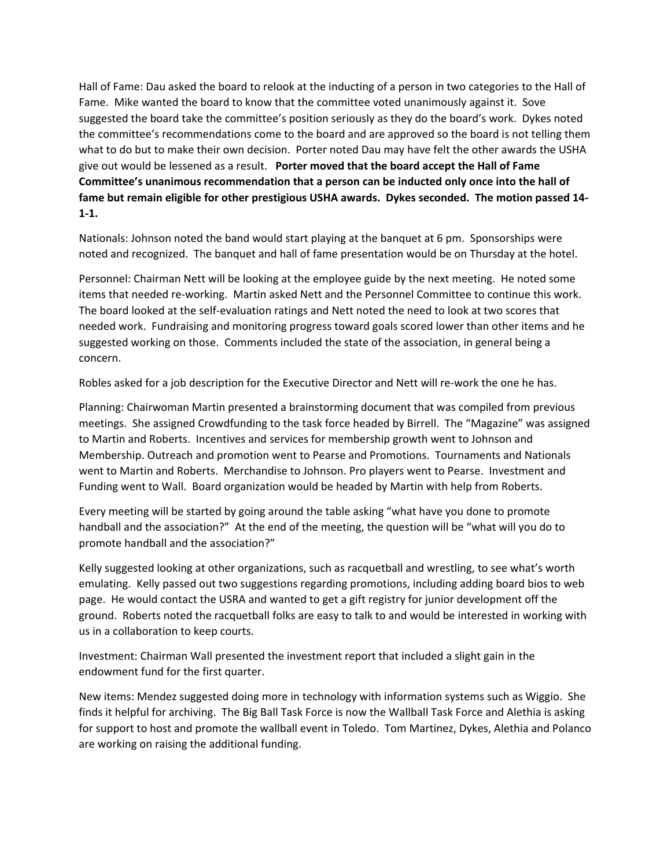Hall of Fame: Dau asked the board to relook at the inducting of a person in two categories to the Hall of Fame. Mike wanted the board to know that the committee voted unanimously against it. Sove suggested the board take the committee's position seriously as they do the board's work. Dykes noted the committee's recommendations come to the board and are approved so the board is not telling them what to do but to make their own decision. Porter noted Dau may have felt the other awards the USHA give out would be lessened as a result. **Porter moved that the board accept the Hall of Fame Committee's unanimous recommendation that a person can be inducted only once into the hall of** fame but remain eligible for other prestigious USHA awards. Dykes seconded. The motion passed 14-**1‐1.**

Nationals: Johnson noted the band would start playing at the banquet at 6 pm. Sponsorships were noted and recognized. The banquet and hall of fame presentation would be on Thursday at the hotel.

Personnel: Chairman Nett will be looking at the employee guide by the next meeting. He noted some items that needed re‐working. Martin asked Nett and the Personnel Committee to continue this work. The board looked at the self‐evaluation ratings and Nett noted the need to look at two scores that needed work. Fundraising and monitoring progress toward goals scored lower than other items and he suggested working on those. Comments included the state of the association, in general being a concern.

Robles asked for a job description for the Executive Director and Nett will re‐work the one he has.

Planning: Chairwoman Martin presented a brainstorming document that was compiled from previous meetings. She assigned Crowdfunding to the task force headed by Birrell. The "Magazine" was assigned to Martin and Roberts. Incentives and services for membership growth went to Johnson and Membership. Outreach and promotion went to Pearse and Promotions. Tournaments and Nationals went to Martin and Roberts. Merchandise to Johnson. Pro players went to Pearse. Investment and Funding went to Wall. Board organization would be headed by Martin with help from Roberts.

Every meeting will be started by going around the table asking "what have you done to promote handball and the association?" At the end of the meeting, the question will be "what will you do to promote handball and the association?"

Kelly suggested looking at other organizations, such as racquetball and wrestling, to see what's worth emulating. Kelly passed out two suggestions regarding promotions, including adding board bios to web page. He would contact the USRA and wanted to get a gift registry for junior development off the ground. Roberts noted the racquetball folks are easy to talk to and would be interested in working with us in a collaboration to keep courts.

Investment: Chairman Wall presented the investment report that included a slight gain in the endowment fund for the first quarter.

New items: Mendez suggested doing more in technology with information systems such as Wiggio. She finds it helpful for archiving. The Big Ball Task Force is now the Wallball Task Force and Alethia is asking for support to host and promote the wallball event in Toledo. Tom Martinez, Dykes, Alethia and Polanco are working on raising the additional funding.